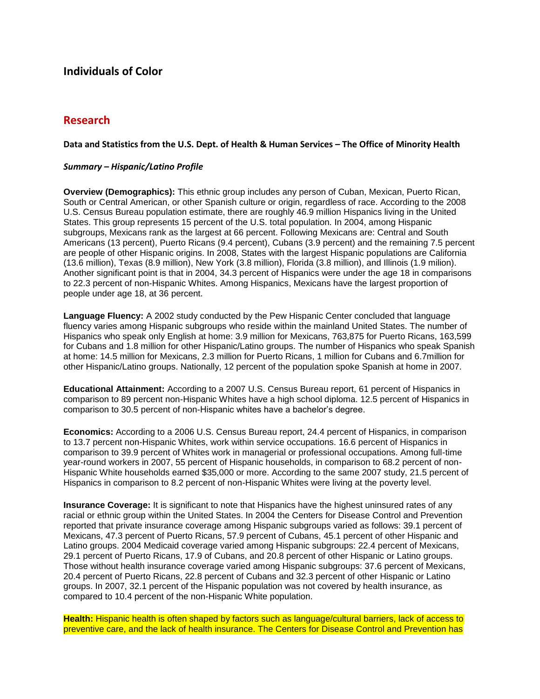# **Individuals of Color**

# **Research**

### **Data and Statistics from the U.S. Dept. of Health & Human Services – The Office of Minority Health**

### *Summary – Hispanic/Latino Profile*

**Overview (Demographics):** This ethnic group includes any person of Cuban, Mexican, Puerto Rican, South or Central American, or other Spanish culture or origin, regardless of race. According to the 2008 U.S. Census Bureau population estimate, there are roughly 46.9 million Hispanics living in the United States. This group represents 15 percent of the U.S. total population. In 2004, among Hispanic subgroups, Mexicans rank as the largest at 66 percent. Following Mexicans are: Central and South Americans (13 percent), Puerto Ricans (9.4 percent), Cubans (3.9 percent) and the remaining 7.5 percent are people of other Hispanic origins. In 2008, States with the largest Hispanic populations are California (13.6 million), Texas (8.9 million), New York (3.8 million), Florida (3.8 million), and Illinois (1.9 milion). Another significant point is that in 2004, 34.3 percent of Hispanics were under the age 18 in comparisons to 22.3 percent of non-Hispanic Whites. Among Hispanics, Mexicans have the largest proportion of people under age 18, at 36 percent.

**Language Fluency:** A 2002 study conducted by the Pew Hispanic Center concluded that language fluency varies among Hispanic subgroups who reside within the mainland United States. The number of Hispanics who speak only English at home: 3.9 million for Mexicans, 763,875 for Puerto Ricans, 163,599 for Cubans and 1.8 million for other Hispanic/Latino groups. The number of Hispanics who speak Spanish at home: 14.5 million for Mexicans, 2.3 million for Puerto Ricans, 1 million for Cubans and 6.7million for other Hispanic/Latino groups. Nationally, 12 percent of the population spoke Spanish at home in 2007.

**Educational Attainment:** According to a 2007 U.S. Census Bureau report, 61 percent of Hispanics in comparison to 89 percent non-Hispanic Whites have a high school diploma. 12.5 percent of Hispanics in comparison to 30.5 percent of non-Hispanic whites have a bachelor's degree.

**Economics:** According to a 2006 U.S. Census Bureau report, 24.4 percent of Hispanics, in comparison to 13.7 percent non-Hispanic Whites, work within service occupations. 16.6 percent of Hispanics in comparison to 39.9 percent of Whites work in managerial or professional occupations. Among full-time year-round workers in 2007, 55 percent of Hispanic households, in comparison to 68.2 percent of non-Hispanic White households earned \$35,000 or more. According to the same 2007 study, 21.5 percent of Hispanics in comparison to 8.2 percent of non-Hispanic Whites were living at the poverty level.

**Insurance Coverage:** It is significant to note that Hispanics have the highest uninsured rates of any racial or ethnic group within the United States. In 2004 the Centers for Disease Control and Prevention reported that private insurance coverage among Hispanic subgroups varied as follows: 39.1 percent of Mexicans, 47.3 percent of Puerto Ricans, 57.9 percent of Cubans, 45.1 percent of other Hispanic and Latino groups. 2004 Medicaid coverage varied among Hispanic subgroups: 22.4 percent of Mexicans, 29.1 percent of Puerto Ricans, 17.9 of Cubans, and 20.8 percent of other Hispanic or Latino groups. Those without health insurance coverage varied among Hispanic subgroups: 37.6 percent of Mexicans, 20.4 percent of Puerto Ricans, 22.8 percent of Cubans and 32.3 percent of other Hispanic or Latino groups. In 2007, 32.1 percent of the Hispanic population was not covered by health insurance, as compared to 10.4 percent of the non-Hispanic White population.

**Health:** Hispanic health is often shaped by factors such as language/cultural barriers, lack of access to preventive care, and the lack of health insurance. The Centers for Disease Control and Prevention has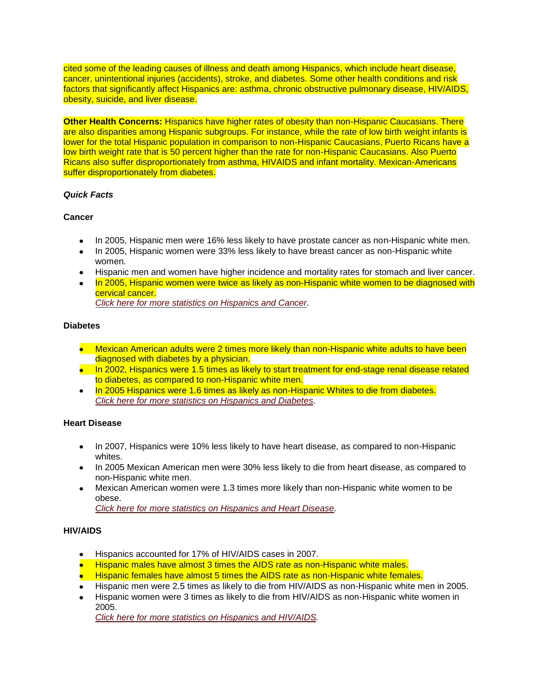cited some of the leading causes of illness and death among Hispanics, which include heart disease, cancer, unintentional injuries (accidents), stroke, and diabetes. Some other health conditions and risk factors that significantly affect Hispanics are: asthma, chronic obstructive pulmonary disease, HIV/AIDS, obesity, suicide, and liver disease.

**Other Health Concerns:** Hispanics have higher rates of obesity than non-Hispanic Caucasians. There are also disparities among Hispanic subgroups. For instance, while the rate of low birth weight infants is lower for the total Hispanic population in comparison to non-Hispanic Caucasians, Puerto Ricans have a low birth weight rate that is 50 percent higher than the rate for non-Hispanic Caucasians. Also Puerto Ricans also suffer disproportionately from asthma, HIVAIDS and infant mortality. Mexican-Americans suffer disproportionately from diabetes.

# *Quick Facts*

#### **Cancer**

- In 2005, Hispanic men were 16% less likely to have prostate cancer as non-Hispanic white men.
- In 2005, Hispanic women were 33% less likely to have breast cancer as non-Hispanic white women.
- Hispanic men and women have higher incidence and mortality rates for stomach and liver cancer.
- In 2005, Hispanic women were twice as likely as non-Hispanic white women to be diagnosed with cervical cancer. *[Click here for more statistics on Hispanics and Cancer.](http://minorityhealth.hhs.gov/templates/content.aspx?lvl=2&lvlID=54&ID=3323)*

# **Diabetes**

- **•** Mexican American adults were 2 times more likely than non-Hispanic white adults to have been diagnosed with diabetes by a physician.
- In 2002, Hispanics were 1.5 times as likely to start treatment for end-stage renal disease related to diabetes, as compared to non-Hispanic white men.
- In 2005 Hispanics were 1.6 times as likely as non-Hispanic Whites to die from diabetes. *[Click here for more statistics on Hispanics and Diabetes.](http://minorityhealth.hhs.gov/templates/content.aspx?lvl=2&lvlID=54&ID=3324)*

# **Heart Disease**

- In 2007, Hispanics were 10% less likely to have heart disease, as compared to non-Hispanic whites.
- In 2005 Mexican American men were 30% less likely to die from heart disease, as compared to non-Hispanic white men.
- Mexican American women were 1.3 times more likely than non-Hispanic white women to be obese.

*[Click here for more statistics on Hispanics and Heart Disease.](http://minorityhealth.hhs.gov/templates/content.aspx?lvl=2&lvlID=54&ID=3325)*

# **HIV/AIDS**

- Hispanics accounted for 17% of HIV/AIDS cases in 2007.
- **Hispanic males have almost 3 times the AIDS rate as non-Hispanic white males.**
- Hispanic females have almost 5 times the AIDS rate as non-Hispanic white females.
- Hispanic men were 2.5 times as likely to die from HIV/AIDS as non-Hispanic white men in 2005.
- Hispanic women were 3 times as likely to die from HIV/AIDS as non-Hispanic white women in 2005.

*[Click here for more statistics on Hispanics and HIV/AIDS.](http://minorityhealth.hhs.gov/templates/content.aspx?lvl=2&lvlID=54&ID=3327)*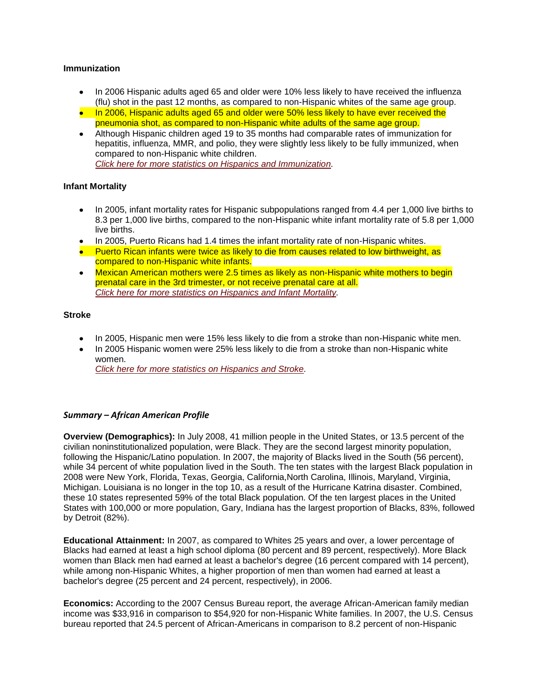### **Immunization**

- In 2006 Hispanic adults aged 65 and older were 10% less likely to have received the influenza (flu) shot in the past 12 months, as compared to non-Hispanic whites of the same age group.
- In 2006, Hispanic adults aged 65 and older were 50% less likely to have ever received the pneumonia shot, as compared to non-Hispanic white adults of the same age group.
- Although Hispanic children aged 19 to 35 months had comparable rates of immunization for hepatitis, influenza, MMR, and polio, they were slightly less likely to be fully immunized, when compared to non-Hispanic white children. *[Click here for more statistics on Hispanics and Immunization.](http://minorityhealth.hhs.gov/templates/content.aspx?lvl=2&lvlID=54&ID=3328)*

# **Infant Mortality**

- In 2005, infant mortality rates for Hispanic subpopulations ranged from 4.4 per 1,000 live births to 8.3 per 1,000 live births, compared to the non-Hispanic white infant mortality rate of 5.8 per 1,000 live births.
- In 2005, Puerto Ricans had 1.4 times the infant mortality rate of non-Hispanic whites.
- Puerto Rican infants were twice as likely to die from causes related to low birthweight, as compared to non-Hispanic white infants.
- Mexican American mothers were 2.5 times as likely as non-Hispanic white mothers to begin prenatal care in the 3rd trimester, or not receive prenatal care at all. *[Click here for more statistics on Hispanics and Infant](http://minorityhealth.hhs.gov/templates/content.aspx?lvl=2&lvlID=54&ID=3329) Mortality.*

# **Stroke**

- In 2005, Hispanic men were 15% less likely to die from a stroke than non-Hispanic white men.
- In 2005 Hispanic women were 25% less likely to die from a stroke than non-Hispanic white women.

*[Click here for more statistics on Hispanics and Stroke.](http://minorityhealth.hhs.gov/templates/content.aspx?lvl=2&lvlID=54&ID=3330)*

# *Summary – African American Profile*

**Overview (Demographics):** In July 2008, 41 million people in the United States, or 13.5 percent of the civilian noninstitutionalized population, were Black. They are the second largest minority population, following the Hispanic/Latino population. In 2007, the majority of Blacks lived in the South (56 percent), while 34 percent of white population lived in the South. The ten states with the largest Black population in 2008 were New York, Florida, Texas, Georgia, California,North Carolina, Illinois, Maryland, Virginia, Michigan. Louisiana is no longer in the top 10, as a result of the Hurricane Katrina disaster. Combined, these 10 states represented 59% of the total Black population. Of the ten largest places in the United States with 100,000 or more population, Gary, Indiana has the largest proportion of Blacks, 83%, followed by Detroit (82%).

**Educational Attainment:** In 2007, as compared to Whites 25 years and over, a lower percentage of Blacks had earned at least a high school diploma (80 percent and 89 percent, respectively). More Black women than Black men had earned at least a bachelor's degree (16 percent compared with 14 percent), while among non-Hispanic Whites, a higher proportion of men than women had earned at least a bachelor's degree (25 percent and 24 percent, respectively), in 2006.

**Economics:** According to the 2007 Census Bureau report, the average African-American family median income was \$33,916 in comparison to \$54,920 for non-Hispanic White families. In 2007, the U.S. Census bureau reported that 24.5 percent of African-Americans in comparison to 8.2 percent of non-Hispanic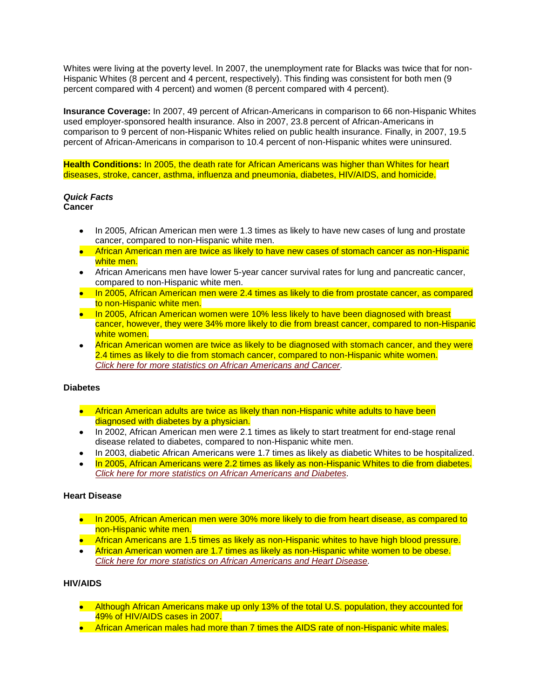Whites were living at the poverty level. In 2007, the unemployment rate for Blacks was twice that for non-Hispanic Whites (8 percent and 4 percent, respectively). This finding was consistent for both men (9 percent compared with 4 percent) and women (8 percent compared with 4 percent).

**Insurance Coverage:** In 2007, 49 percent of African-Americans in comparison to 66 non-Hispanic Whites used employer-sponsored health insurance. Also in 2007, 23.8 percent of African-Americans in comparison to 9 percent of non-Hispanic Whites relied on public health insurance. Finally, in 2007, 19.5 percent of African-Americans in comparison to 10.4 percent of non-Hispanic whites were uninsured.

**Health Conditions:** In 2005, the death rate for African Americans was higher than Whites for heart diseases, stroke, cancer, asthma, influenza and pneumonia, diabetes, HIV/AIDS, and homicide.

#### *Quick Facts* **Cancer**

- In 2005, African American men were 1.3 times as likely to have new cases of lung and prostate cancer, compared to non-Hispanic white men.
- African American men are twice as likely to have new cases of stomach cancer as non-Hispanic white men.
- African Americans men have lower 5-year cancer survival rates for lung and pancreatic cancer, compared to non-Hispanic white men.
- In 2005, African American men were 2.4 times as likely to die from prostate cancer, as compared to non-Hispanic white men.
- In 2005, African American women were 10% less likely to have been diagnosed with breast cancer, however, they were 34% more likely to die from breast cancer, compared to non-Hispanic white women.
- African American women are twice as likely to be diagnosed with stomach cancer, and they were  $\bullet$ 2.4 times as likely to die from stomach cancer, compared to non-Hispanic white women. *[Click here for more statistics on African Americans and Cancer.](http://minorityhealth.hhs.gov/templates/content.aspx?lvl=2&lvlID=51&ID=2826)*

#### **Diabetes**

- **•** African American adults are twice as likely than non-Hispanic white adults to have been diagnosed with diabetes by a physician.
- In 2002, African American men were 2.1 times as likely to start treatment for end-stage renal disease related to diabetes, compared to non-Hispanic white men.
- In 2003, diabetic African Americans were 1.7 times as likely as diabetic Whites to be hospitalized.
- In 2005, African Americans were 2.2 times as likely as non-Hispanic Whites to die from diabetes. *[Click here for more statistics on African Americans and Diabetes.](http://minorityhealth.hhs.gov/templates/content.aspx?lvl=2&lvlID=51&ID=3017)*

#### **Heart Disease**

- In 2005, African American men were 30% more likely to die from heart disease, as compared to non-Hispanic white men.
- African Americans are 1.5 times as likely as non-Hispanic whites to have high blood pressure.
- African American women are 1.7 times as likely as non-Hispanic white women to be obese. *[Click here for more statistics on African Americans and Heart Disease.](http://minorityhealth.hhs.gov/templates/content.aspx?lvl=2&lvlID=51&ID=3018)*

# **HIV/AIDS**

- Although African Americans make up only 13% of the total U.S. population, they accounted for 49% of HIV/AIDS cases in 2007.
- African American males had more than 7 times the AIDS rate of non-Hispanic white males.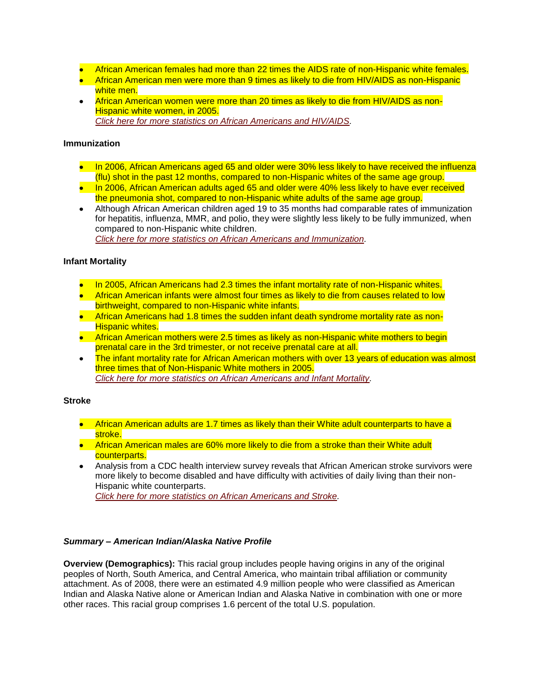- African American females had more than 22 times the AIDS rate of non-Hispanic white females.
- African American men were more than 9 times as likely to die from HIV/AIDS as non-Hispanic white men.
- African American women were more than 20 times as likely to die from HIV/AIDS as non-Hispanic white women, in 2005. *[Click here for more statistics on African Americans and HIV/AIDS.](http://minorityhealth.hhs.gov/templates/content.aspx?lvl=2&lvlID=51&ID=3019)*

### **Immunization**

- In 2006, African Americans aged 65 and older were 30% less likely to have received the influenza (flu) shot in the past 12 months, compared to non-Hispanic whites of the same age group.
- In 2006, African American adults aged 65 and older were 40% less likely to have ever received the pneumonia shot, compared to non-Hispanic white adults of the same age group.
- Although African American children aged 19 to 35 months had comparable rates of immunization for hepatitis, influenza, MMR, and polio, they were slightly less likely to be fully immunized, when compared to non-Hispanic white children. *[Click here for more statistics on African Americans and Immunization.](http://minorityhealth.hhs.gov/templates/content.aspx?lvl=2&lvlID=51&ID=3020)*

# **Infant Mortality**

- In 2005, African Americans had 2.3 times the infant mortality rate of non-Hispanic whites.
- African American infants were almost four times as likely to die from causes related to low birthweight, compared to non-Hispanic white infants.
- African Americans had 1.8 times the sudden infant death syndrome mortality rate as non-**Hispanic whites.**
- African American mothers were 2.5 times as likely as non-Hispanic white mothers to begin prenatal care in the 3rd trimester, or not receive prenatal care at all.
- The infant mortality rate for African American mothers with over 13 years of education was almost three times that of Non-Hispanic White mothers in 2005. *[Click here for more statistics on African Americans and Infant Mortality.](http://minorityhealth.hhs.gov/templates/content.aspx?lvl=2&lvlID=51&ID=3021)*

#### **Stroke**

- African American adults are 1.7 times as likely than their White adult counterparts to have a stroke.
- **•** African American males are 60% more likely to die from a stroke than their White adult counterparts.
- Analysis from a CDC health interview survey reveals that African American stroke survivors were more likely to become disabled and have difficulty with activities of daily living than their non-Hispanic white counterparts. *[Click here for more statistics on African Americans and Stroke.](http://minorityhealth.hhs.gov/templates/content.aspx?lvl=2&lvlID=51&ID=3022)*

# *Summary – American Indian/Alaska Native Profile*

**Overview (Demographics):** This racial group includes people having origins in any of the original peoples of North, South America, and Central America, who maintain tribal affiliation or community attachment. As of 2008, there were an estimated 4.9 million people who were classified as American Indian and Alaska Native alone or American Indian and Alaska Native in combination with one or more other races. This racial group comprises 1.6 percent of the total U.S. population.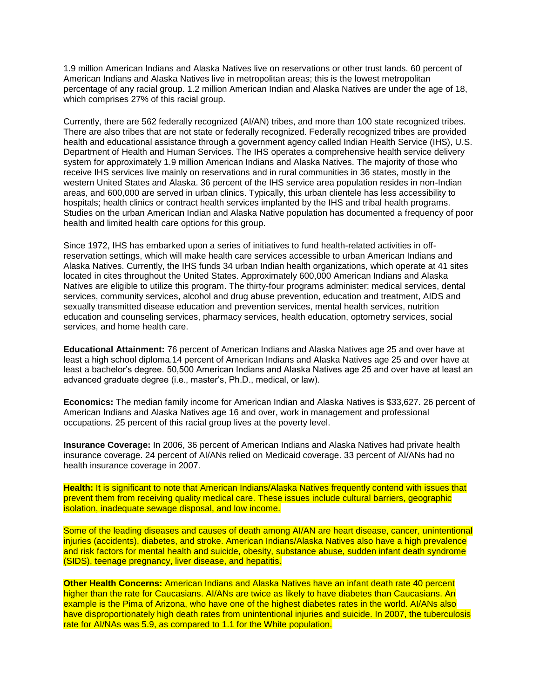1.9 million American Indians and Alaska Natives live on reservations or other trust lands. 60 percent of American Indians and Alaska Natives live in metropolitan areas; this is the lowest metropolitan percentage of any racial group. 1.2 million American Indian and Alaska Natives are under the age of 18, which comprises 27% of this racial group.

Currently, there are 562 federally recognized (AI/AN) tribes, and more than 100 state recognized tribes. There are also tribes that are not state or federally recognized. Federally recognized tribes are provided health and educational assistance through a government agency called Indian Health Service (IHS), U.S. Department of Health and Human Services. The IHS operates a comprehensive health service delivery system for approximately 1.9 million American Indians and Alaska Natives. The majority of those who receive IHS services live mainly on reservations and in rural communities in 36 states, mostly in the western United States and Alaska. 36 percent of the IHS service area population resides in non-Indian areas, and 600,000 are served in urban clinics. Typically, this urban clientele has less accessibility to hospitals; health clinics or contract health services implanted by the IHS and tribal health programs. Studies on the urban American Indian and Alaska Native population has documented a frequency of poor health and limited health care options for this group.

Since 1972, IHS has embarked upon a series of initiatives to fund health-related activities in offreservation settings, which will make health care services accessible to urban American Indians and Alaska Natives. Currently, the IHS funds 34 urban Indian health organizations, which operate at 41 sites located in cites throughout the United States. Approximately 600,000 American Indians and Alaska Natives are eligible to utilize this program. The thirty-four programs administer: medical services, dental services, community services, alcohol and drug abuse prevention, education and treatment, AIDS and sexually transmitted disease education and prevention services, mental health services, nutrition education and counseling services, pharmacy services, health education, optometry services, social services, and home health care.

**Educational Attainment:** 76 percent of American Indians and Alaska Natives age 25 and over have at least a high school diploma.14 percent of American Indians and Alaska Natives age 25 and over have at least a bachelor's degree. 50,500 American Indians and Alaska Natives age 25 and over have at least an advanced graduate degree (i.e., master's, Ph.D., medical, or law).

**Economics:** The median family income for American Indian and Alaska Natives is \$33,627. 26 percent of American Indians and Alaska Natives age 16 and over, work in management and professional occupations. 25 percent of this racial group lives at the poverty level.

**Insurance Coverage:** In 2006, 36 percent of American Indians and Alaska Natives had private health insurance coverage. 24 percent of AI/ANs relied on Medicaid coverage. 33 percent of AI/ANs had no health insurance coverage in 2007.

**Health:** It is significant to note that American Indians/Alaska Natives frequently contend with issues that prevent them from receiving quality medical care. These issues include cultural barriers, geographic isolation, inadequate sewage disposal, and low income.

Some of the leading diseases and causes of death among AI/AN are heart disease, cancer, unintentional injuries (accidents), diabetes, and stroke. American Indians/Alaska Natives also have a high prevalence and risk factors for mental health and suicide, obesity, substance abuse, sudden infant death syndrome (SIDS), teenage pregnancy, liver disease, and hepatitis.

**Other Health Concerns:** American Indians and Alaska Natives have an infant death rate 40 percent higher than the rate for Caucasians. AI/ANs are twice as likely to have diabetes than Caucasians. An example is the Pima of Arizona, who have one of the highest diabetes rates in the world. AI/ANs also have disproportionately high death rates from unintentional injuries and suicide. In 2007, the tuberculosis rate for AI/NAs was 5.9, as compared to 1.1 for the White population.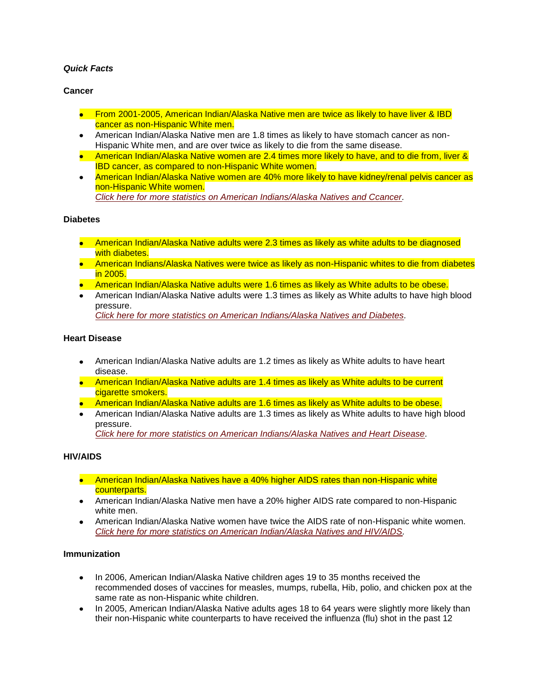# *Quick Facts*

### **Cancer**

- From 2001-2005, American Indian/Alaska Native men are twice as likely to have liver & IBD cancer as non-Hispanic White men.
- American Indian/Alaska Native men are 1.8 times as likely to have stomach cancer as non-Hispanic White men, and are over twice as likely to die from the same disease.
- American Indian/Alaska Native women are 2.4 times more likely to have, and to die from, liver & **IBD cancer, as compared to non-Hispanic White women.**
- American Indian/Alaska Native women are 40% more likely to have kidney/renal pelvis cancer as non-Hispanic White women. *[Click here for more statistics on American Indians/Alaska Natives and Ccancer.](http://minorityhealth.hhs.gov/templates/content.aspx?lvl=2&lvlID=52&ID=3023)*

#### **Diabetes**

- American Indian/Alaska Native adults were 2.3 times as likely as white adults to be diagnosed with diabetes.
- American Indians/Alaska Natives were twice as likely as non-Hispanic whites to die from diabetes in 2005.
- American Indian/Alaska Native adults were 1.6 times as likely as White adults to be obese.
- American Indian/Alaska Native adults were 1.3 times as likely as White adults to have high blood pressure. *[Click here for more statistics on American Indians/Alaska Natives and Diabetes.](http://minorityhealth.hhs.gov/templates/content.aspx?lvl=2&lvlID=52&ID=3024)*

#### **Heart Disease**

- American Indian/Alaska Native adults are 1.2 times as likely as White adults to have heart disease.
- American Indian/Alaska Native adults are 1.4 times as likely as White adults to be current cigarette smokers.
- **American Indian/Alaska Native adults are 1.6 times as likely as White adults to be obese.**
- American Indian/Alaska Native adults are 1.3 times as likely as White adults to have high blood pressure. *[Click here for more statistics on American Indians/Alaska Natives and Heart Disease.](http://minorityhealth.hhs.gov/templates/content.aspx?lvl=2&lvlID=52&ID=3025)*

#### **HIV/AIDS**

- American Indian/Alaska Natives have a 40% higher AIDS rates than non-Hispanic white counterparts.
- American Indian/Alaska Native men have a 20% higher AIDS rate compared to non-Hispanic white men.
- American Indian/Alaska Native women have twice the AIDS rate of non-Hispanic white women. *[Click here for more statistics on American Indian/Alaska Natives and HIV/AIDS.](http://minorityhealth.hhs.gov/templates/content.aspx?lvl=2&lvlID=52&ID=3026)*

#### **Immunization**

- In 2006, American Indian/Alaska Native children ages 19 to 35 months received the recommended doses of vaccines for measles, mumps, rubella, Hib, polio, and chicken pox at the same rate as non-Hispanic white children.
- In 2005, American Indian/Alaska Native adults ages 18 to 64 years were slightly more likely than their non-Hispanic white counterparts to have received the influenza (flu) shot in the past 12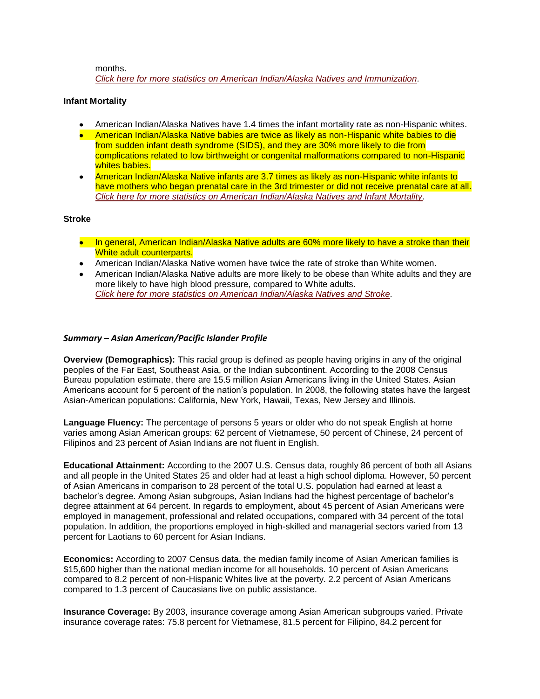months.

*[Click here for more statistics on American Indian/Alaska Natives and Immunization.](http://minorityhealth.hhs.gov/templates/content.aspx?lvl=2&lvlID=52&ID=3029)*

### **Infant Mortality**

- American Indian/Alaska Natives have 1.4 times the infant mortality rate as non-Hispanic whites.
- American Indian/Alaska Native babies are twice as likely as non-Hispanic white babies to die from sudden infant death syndrome (SIDS), and they are 30% more likely to die from complications related to low birthweight or congenital malformations compared to non-Hispanic whites babies.
- American Indian/Alaska Native infants are 3.7 times as likely as non-Hispanic white infants to have mothers who began prenatal care in the 3rd trimester or did not receive prenatal care at all. *[Click here for more statistics on American Indian/Alaska Natives and Infant Mortality.](http://minorityhealth.hhs.gov/templates/content.aspx?lvl=2&lvlID=52&ID=3038)*

#### **Stroke**

- In general, American Indian/Alaska Native adults are 60% more likely to have a stroke than their White adult counterparts.
- American Indian/Alaska Native women have twice the rate of stroke than White women.
- American Indian/Alaska Native adults are more likely to be obese than White adults and they are more likely to have high blood pressure, compared to White adults. *[Click here for more statistics on American Indian/Alaska Natives and Stroke.](http://minorityhealth.hhs.gov/templates/content.aspx?lvl=2&lvlID=52&ID=3041)*

# *Summary – Asian American/Pacific Islander Profile*

**Overview (Demographics):** This racial group is defined as people having origins in any of the original peoples of the Far East, Southeast Asia, or the Indian subcontinent. According to the 2008 Census Bureau population estimate, there are 15.5 million Asian Americans living in the United States. Asian Americans account for 5 percent of the nation's population. In 2008, the following states have the largest Asian-American populations: California, New York, Hawaii, Texas, New Jersey and Illinois.

**Language Fluency:** The percentage of persons 5 years or older who do not speak English at home varies among Asian American groups: 62 percent of Vietnamese, 50 percent of Chinese, 24 percent of Filipinos and 23 percent of Asian Indians are not fluent in English.

**Educational Attainment:** According to the 2007 U.S. Census data, roughly 86 percent of both all Asians and all people in the United States 25 and older had at least a high school diploma. However, 50 percent of Asian Americans in comparison to 28 percent of the total U.S. population had earned at least a bachelor's degree. Among Asian subgroups, Asian Indians had the highest percentage of bachelor's degree attainment at 64 percent. In regards to employment, about 45 percent of Asian Americans were employed in management, professional and related occupations, compared with 34 percent of the total population. In addition, the proportions employed in high-skilled and managerial sectors varied from 13 percent for Laotians to 60 percent for Asian Indians.

**Economics:** According to 2007 Census data, the median family income of Asian American families is \$15,600 higher than the national median income for all households. 10 percent of Asian Americans compared to 8.2 percent of non-Hispanic Whites live at the poverty. 2.2 percent of Asian Americans compared to 1.3 percent of Caucasians live on public assistance.

**Insurance Coverage:** By 2003, insurance coverage among Asian American subgroups varied. Private insurance coverage rates: 75.8 percent for Vietnamese, 81.5 percent for Filipino, 84.2 percent for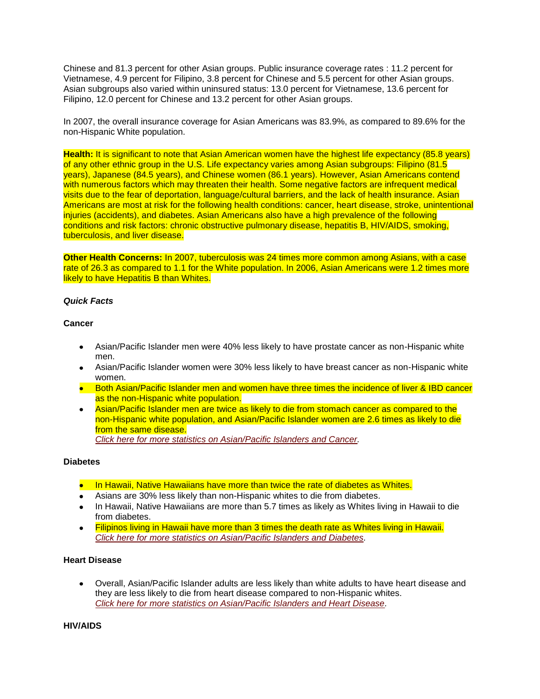Chinese and 81.3 percent for other Asian groups. Public insurance coverage rates : 11.2 percent for Vietnamese, 4.9 percent for Filipino, 3.8 percent for Chinese and 5.5 percent for other Asian groups. Asian subgroups also varied within uninsured status: 13.0 percent for Vietnamese, 13.6 percent for Filipino, 12.0 percent for Chinese and 13.2 percent for other Asian groups.

In 2007, the overall insurance coverage for Asian Americans was 83.9%, as compared to 89.6% for the non-Hispanic White population.

**Health:** It is significant to note that Asian American women have the highest life expectancy (85.8 years) of any other ethnic group in the U.S. Life expectancy varies among Asian subgroups: Filipino (81.5 years), Japanese (84.5 years), and Chinese women (86.1 years). However, Asian Americans contend with numerous factors which may threaten their health. Some negative factors are infrequent medical visits due to the fear of deportation, language/cultural barriers, and the lack of health insurance. Asian Americans are most at risk for the following health conditions: cancer, heart disease, stroke, unintentional injuries (accidents), and diabetes. Asian Americans also have a high prevalence of the following conditions and risk factors: chronic obstructive pulmonary disease, hepatitis B, HIV/AIDS, smoking, tuberculosis, and liver disease.

**Other Health Concerns:** In 2007, tuberculosis was 24 times more common among Asians, with a case rate of 26.3 as compared to 1.1 for the White population. In 2006, Asian Americans were 1.2 times more likely to have Hepatitis B than Whites.

#### *Quick Facts*

#### **Cancer**

- Asian/Pacific Islander men were 40% less likely to have prostate cancer as non-Hispanic white men.
- Asian/Pacific Islander women were 30% less likely to have breast cancer as non-Hispanic white women.
- **Both Asian/Pacific Islander men and women have three times the incidence of liver & IBD cancer** as the non-Hispanic white population.
- Asian/Pacific Islander men are twice as likely to die from stomach cancer as compared to the non-Hispanic white population, and Asian/Pacific Islander women are 2.6 times as likely to die from the same disease. *[Click here for more statistics on Asian/Pacific Islanders and Cancer.](http://minorityhealth.hhs.gov/templates/content.aspx?lvl=2&lvlID=53&ID=3055)*

#### **Diabetes**

- In Hawaii, Native Hawaiians have more than twice the rate of diabetes as Whites.
- Asians are 30% less likely than non-Hispanic whites to die from diabetes.
- In Hawaii, Native Hawaiians are more than 5.7 times as likely as Whites living in Hawaii to die from diabetes.
- Filipinos living in Hawaii have more than 3 times the death rate as Whites living in Hawaii.  $\bullet$ *[Click here for more statistics on Asian/Pacific Islanders and Diabetes.](http://minorityhealth.hhs.gov/templates/content.aspx?lvl=2&lvlID=53&ID=3057)*

# **Heart Disease**

Overall, Asian/Pacific Islander adults are less likely than white adults to have heart disease and  $\bullet$ they are less likely to die from heart disease compared to non-Hispanic whites. *[Click here for more statistics on Asian/Pacific Islanders and Heart Disease.](http://minorityhealth.hhs.gov/templates/content.aspx?lvl=2&lvlID=53&ID=3060)*

#### **HIV/AIDS**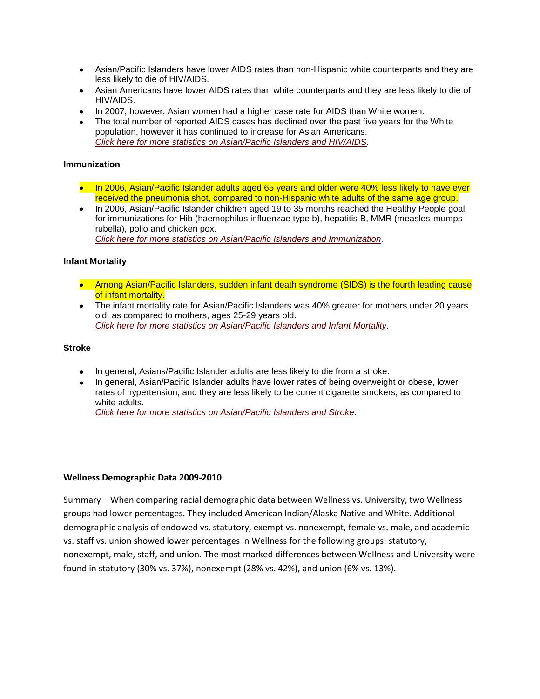- Asian/Pacific Islanders have lower AIDS rates than non-Hispanic white counterparts and they are less likely to die of HIV/AIDS.
- Asian Americans have lower AIDS rates than white counterparts and they are less likely to die of HIV/AIDS.
- In 2007, however, Asian women had a higher case rate for AIDS than White women.
- The total number of reported AIDS cases has declined over the past five years for the White population, however it has continued to increase for Asian Americans. *[Click here for more statistics on Asian/Pacific Islanders and HIV/AIDS.](http://minorityhealth.hhs.gov/templates/content.aspx?lvl=2&lvlID=53&ID=3062)*

#### **Immunization**

- In 2006, Asian/Pacific Islander adults aged 65 years and older were 40% less likely to have ever received the pneumonia shot, compared to non-Hispanic white adults of the same age group.
- In 2006, Asian/Pacific Islander children aged 19 to 35 months reached the Healthy People goal for immunizations for Hib (haemophilus influenzae type b), hepatitis B, MMR (measles-mumpsrubella), polio and chicken pox. *[Click here for more statistics on Asian/Pacific Islanders and Immunization.](http://minorityhealth.hhs.gov/templates/content.aspx?lvl=2&lvlID=53&ID=3064)*

#### **Infant Mortality**

- Among Asian/Pacific Islanders, sudden infant death syndrome (SIDS) is the fourth leading cause of infant mortality.
- The infant mortality rate for Asian/Pacific Islanders was 40% greater for mothers under 20 years old, as compared to mothers, ages 25-29 years old. *[Click here for more statistics on Asian/Pacific Islanders and Infant Mortality.](http://minorityhealth.hhs.gov/templates/content.aspx?lvl=2&lvlID=53&ID=3067)*

#### **Stroke**

- In general, Asians/Pacific Islander adults are less likely to die from a stroke.
- In general, Asian/Pacific Islander adults have lower rates of being overweight or obese, lower rates of hypertension, and they are less likely to be current cigarette smokers, as compared to white adults.

*[Click here for more statistics on Asian/Pacific Islanders and Stroke.](http://minorityhealth.hhs.gov/templates/content.aspx?lvl=2&lvlID=53&ID=3068)*

#### **Wellness Demographic Data 2009-2010**

Summary – When comparing racial demographic data between Wellness vs. University, two Wellness groups had lower percentages. They included American Indian/Alaska Native and White. Additional demographic analysis of endowed vs. statutory, exempt vs. nonexempt, female vs. male, and academic vs. staff vs. union showed lower percentages in Wellness for the following groups: statutory, nonexempt, male, staff, and union. The most marked differences between Wellness and University were found in statutory (30% vs. 37%), nonexempt (28% vs. 42%), and union (6% vs. 13%).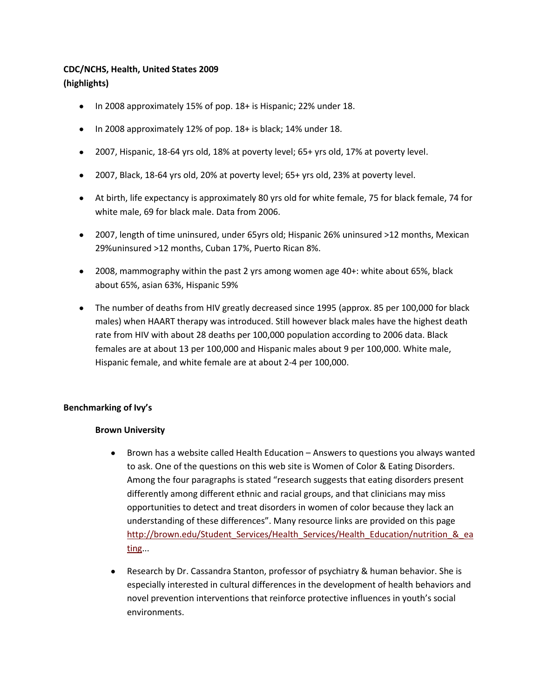# **CDC/NCHS, Health, United States 2009 (highlights)**

- In 2008 approximately 15% of pop. 18+ is Hispanic; 22% under 18.
- In 2008 approximately 12% of pop. 18+ is black; 14% under 18.
- 2007, Hispanic, 18-64 yrs old, 18% at poverty level; 65+ yrs old, 17% at poverty level.
- 2007, Black, 18-64 yrs old, 20% at poverty level; 65+ yrs old, 23% at poverty level.
- At birth, life expectancy is approximately 80 yrs old for white female, 75 for black female, 74 for white male, 69 for black male. Data from 2006.
- 2007, length of time uninsured, under 65yrs old; Hispanic 26% uninsured >12 months, Mexican 29%uninsured >12 months, Cuban 17%, Puerto Rican 8%.
- 2008, mammography within the past 2 yrs among women age 40+: white about 65%, black about 65%, asian 63%, Hispanic 59%
- The number of deaths from HIV greatly decreased since 1995 (approx. 85 per 100,000 for black males) when HAART therapy was introduced. Still however black males have the highest death rate from HIV with about 28 deaths per 100,000 population according to 2006 data. Black females are at about 13 per 100,000 and Hispanic males about 9 per 100,000. White male, Hispanic female, and white female are at about 2-4 per 100,000.

# **Benchmarking of Ivy's**

# **Brown University**

- Brown has a website called Health Education Answers to questions you always wanted  $\bullet$ to ask. One of the questions on this web site is Women of Color & Eating Disorders. Among the four paragraphs is stated "research suggests that eating disorders present differently among different ethnic and racial groups, and that clinicians may miss opportunities to detect and treat disorders in women of color because they lack an understanding of these differences". Many resource links are provided on this page http://brown.edu/Student Services/Health Services/Health Education/nutrition & ea [ting.](http://brown.edu/Student_Services/Health_Services/Health_Education/nutrition_&_eating)..
- $\bullet$ Research by Dr. Cassandra Stanton, professor of psychiatry & human behavior. She is especially interested in cultural differences in the development of health behaviors and novel prevention interventions that reinforce protective influences in youth's social environments.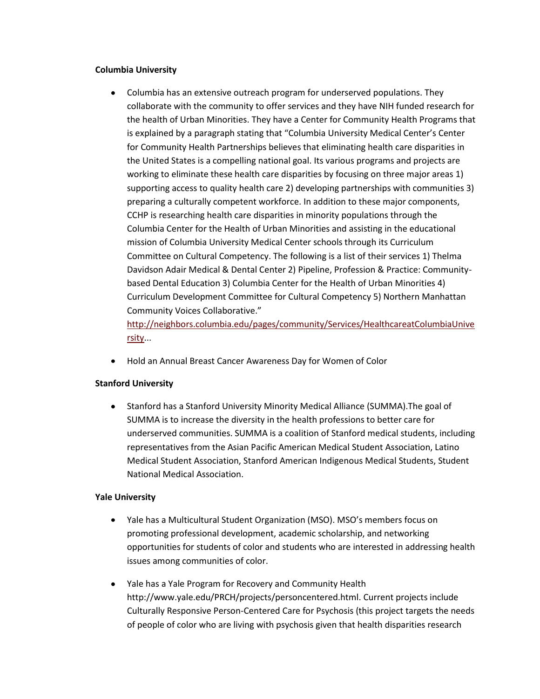# **Columbia University**

Columbia has an extensive outreach program for underserved populations. They collaborate with the community to offer services and they have NIH funded research for the health of Urban Minorities. They have a Center for Community Health Programs that is explained by a paragraph stating that "Columbia University Medical Center's Center for Community Health Partnerships believes that eliminating health care disparities in the United States is a compelling national goal. Its various programs and projects are working to eliminate these health care disparities by focusing on three major areas 1) supporting access to quality health care 2) developing partnerships with communities 3) preparing a culturally competent workforce. In addition to these major components, CCHP is researching health care disparities in minority populations through the Columbia Center for the Health of Urban Minorities and assisting in the educational mission of Columbia University Medical Center schools through its Curriculum Committee on Cultural Competency. The following is a list of their services 1) Thelma Davidson Adair Medical & Dental Center 2) Pipeline, Profession & Practice: Communitybased Dental Education 3) Columbia Center for the Health of Urban Minorities 4) Curriculum Development Committee for Cultural Competency 5) Northern Manhattan Community Voices Collaborative."

[http://neighbors.columbia.edu/pages/community/Services/HealthcareatColumbiaUnive](http://neighbors.columbia.edu/pages/community/Services/HealthcareatColumbiaUniversity) [rsity.](http://neighbors.columbia.edu/pages/community/Services/HealthcareatColumbiaUniversity)..

Hold an Annual Breast Cancer Awareness Day for Women of Color

# **Stanford University**

 $\bullet$ Stanford has a Stanford University Minority Medical Alliance (SUMMA).The goal of SUMMA is to increase the diversity in the health professions to better care for underserved communities. SUMMA is a coalition of Stanford medical students, including representatives from the Asian Pacific American Medical Student Association, Latino Medical Student Association, Stanford American Indigenous Medical Students, Student National Medical Association.

# **Yale University**

- Yale has a Multicultural Student Organization (MSO). MSO's members focus on  $\bullet$ promoting professional development, academic scholarship, and networking opportunities for students of color and students who are interested in addressing health issues among communities of color.
- Yale has a Yale Program for Recovery and Community Health http://www.yale.edu/PRCH/projects/personcentered.html. Current projects include Culturally Responsive Person-Centered Care for Psychosis (this project targets the needs of people of color who are living with psychosis given that health disparities research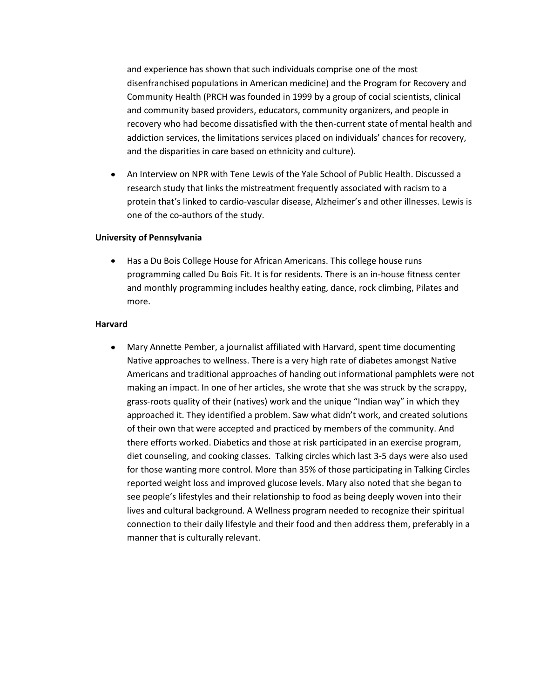and experience has shown that such individuals comprise one of the most disenfranchised populations in American medicine) and the Program for Recovery and Community Health (PRCH was founded in 1999 by a group of cocial scientists, clinical and community based providers, educators, community organizers, and people in recovery who had become dissatisfied with the then-current state of mental health and addiction services, the limitations services placed on individuals' chances for recovery, and the disparities in care based on ethnicity and culture).

 $\bullet$ An Interview on NPR with Tene Lewis of the Yale School of Public Health. Discussed a research study that links the mistreatment frequently associated with racism to a protein that's linked to cardio-vascular disease, Alzheimer's and other illnesses. Lewis is one of the co-authors of the study.

# **University of Pennsylvania**

 $\bullet$ Has a Du Bois College House for African Americans. This college house runs programming called Du Bois Fit. It is for residents. There is an in-house fitness center and monthly programming includes healthy eating, dance, rock climbing, Pilates and more.

# **Harvard**

 $\bullet$ Mary Annette Pember, a journalist affiliated with Harvard, spent time documenting Native approaches to wellness. There is a very high rate of diabetes amongst Native Americans and traditional approaches of handing out informational pamphlets were not making an impact. In one of her articles, she wrote that she was struck by the scrappy, grass-roots quality of their (natives) work and the unique "Indian way" in which they approached it. They identified a problem. Saw what didn't work, and created solutions of their own that were accepted and practiced by members of the community. And there efforts worked. Diabetics and those at risk participated in an exercise program, diet counseling, and cooking classes. Talking circles which last 3-5 days were also used for those wanting more control. More than 35% of those participating in Talking Circles reported weight loss and improved glucose levels. Mary also noted that she began to see people's lifestyles and their relationship to food as being deeply woven into their lives and cultural background. A Wellness program needed to recognize their spiritual connection to their daily lifestyle and their food and then address them, preferably in a manner that is culturally relevant.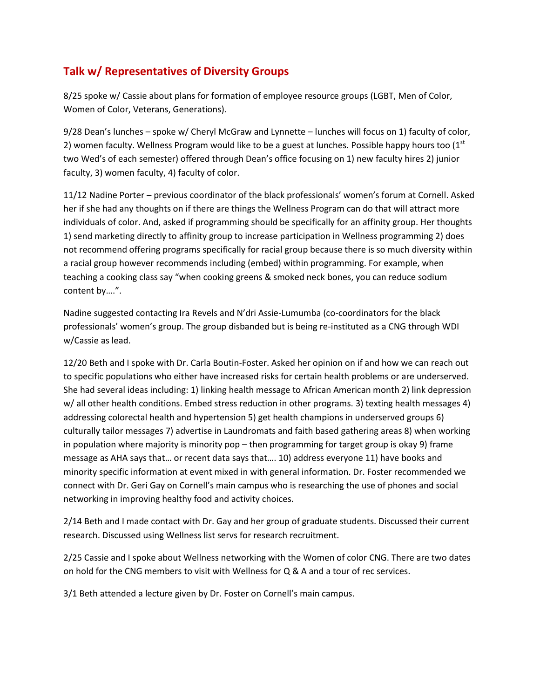# **Talk w/ Representatives of Diversity Groups**

8/25 spoke w/ Cassie about plans for formation of employee resource groups (LGBT, Men of Color, Women of Color, Veterans, Generations).

9/28 Dean's lunches – spoke w/ Cheryl McGraw and Lynnette – lunches will focus on 1) faculty of color, 2) women faculty. Wellness Program would like to be a guest at lunches. Possible happy hours too  $(1<sup>st</sup>$ two Wed's of each semester) offered through Dean's office focusing on 1) new faculty hires 2) junior faculty, 3) women faculty, 4) faculty of color.

11/12 Nadine Porter – previous coordinator of the black professionals' women's forum at Cornell. Asked her if she had any thoughts on if there are things the Wellness Program can do that will attract more individuals of color. And, asked if programming should be specifically for an affinity group. Her thoughts 1) send marketing directly to affinity group to increase participation in Wellness programming 2) does not recommend offering programs specifically for racial group because there is so much diversity within a racial group however recommends including (embed) within programming. For example, when teaching a cooking class say "when cooking greens & smoked neck bones, you can reduce sodium content by….".

Nadine suggested contacting Ira Revels and N'dri Assie-Lumumba (co-coordinators for the black professionals' women's group. The group disbanded but is being re-instituted as a CNG through WDI w/Cassie as lead.

12/20 Beth and I spoke with Dr. Carla Boutin-Foster. Asked her opinion on if and how we can reach out to specific populations who either have increased risks for certain health problems or are underserved. She had several ideas including: 1) linking health message to African American month 2) link depression w/ all other health conditions. Embed stress reduction in other programs. 3) texting health messages 4) addressing colorectal health and hypertension 5) get health champions in underserved groups 6) culturally tailor messages 7) advertise in Laundromats and faith based gathering areas 8) when working in population where majority is minority pop – then programming for target group is okay 9) frame message as AHA says that… or recent data says that…. 10) address everyone 11) have books and minority specific information at event mixed in with general information. Dr. Foster recommended we connect with Dr. Geri Gay on Cornell's main campus who is researching the use of phones and social networking in improving healthy food and activity choices.

2/14 Beth and I made contact with Dr. Gay and her group of graduate students. Discussed their current research. Discussed using Wellness list servs for research recruitment.

2/25 Cassie and I spoke about Wellness networking with the Women of color CNG. There are two dates on hold for the CNG members to visit with Wellness for Q & A and a tour of rec services.

3/1 Beth attended a lecture given by Dr. Foster on Cornell's main campus.